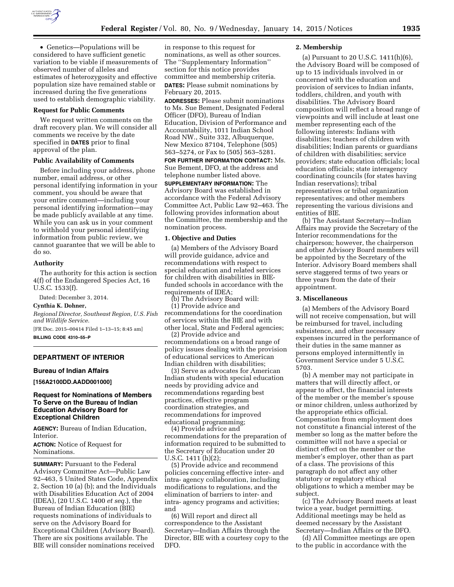

• Genetics—Populations will be considered to have sufficient genetic variation to be viable if measurements of observed number of alleles and estimates of heterozygosity and effective population size have remained stable or increased during the five generations used to establish demographic viability.

#### **Request for Public Comments**

We request written comments on the draft recovery plan. We will consider all comments we receive by the date specified in **DATES** prior to final approval of the plan.

### **Public Availability of Comments**

Before including your address, phone number, email address, or other personal identifying information in your comment, you should be aware that your entire comment—including your personal identifying information—may be made publicly available at any time. While you can ask us in your comment to withhold your personal identifying information from public review, we cannot guarantee that we will be able to do so.

### **Authority**

The authority for this action is section 4(f) of the Endangered Species Act, 16 U.S.C. 1533(f).

Dated: December 3, 2014.

### **Cynthia K. Dohner,**

*Regional Director, Southeast Region, U.S. Fish and Wildlife Service.*  [FR Doc. 2015–00414 Filed 1–13–15; 8:45 am]

**BILLING CODE 4310–55–P** 

## **DEPARTMENT OF INTERIOR**

## **Bureau of Indian Affairs**

**[156A2100DD.AADD001000]** 

## **Request for Nominations of Members To Serve on the Bureau of Indian Education Advisory Board for Exceptional Children**

**AGENCY:** Bureau of Indian Education, Interior.

**ACTION:** Notice of Request for Nominations.

**SUMMARY: Pursuant to the Federal** Advisory Committee Act—Public Law 92–463, 5 United States Code, Appendix 2, Section 10 (a) (b); and the Individuals with Disabilities Education Act of 2004 (IDEA), (20 U.S.C. 1400 *et seq.*), the Bureau of Indian Education (BIE) requests nominations of individuals to serve on the Advisory Board for Exceptional Children (Advisory Board). There are six positions available. The BIE will consider nominations received

in response to this request for nominations, as well as other sources. The ''Supplementary Information'' section for this notice provides committee and membership criteria. **DATES:** Please submit nominations by February 20, 2015.

**ADDRESSES:** Please submit nominations to Ms. Sue Bement, Designated Federal Officer (DFO), Bureau of Indian Education, Division of Performance and Accountability, 1011 Indian School Road NW., Suite 332, Albuquerque, New Mexico 87104, Telephone (505) 563–5274, or Fax to (505) 563–5281.

**FOR FURTHER INFORMATION CONTACT:** Ms. Sue Bement, DFO, at the address and telephone number listed above.

**SUPPLEMENTARY INFORMATION:** The Advisory Board was established in accordance with the Federal Advisory Committee Act, Public Law 92–463. The following provides information about the Committee, the membership and the nomination process.

#### **1. Objective and Duties**

(a) Members of the Advisory Board will provide guidance, advice and recommendations with respect to special education and related services for children with disabilities in BIEfunded schools in accordance with the requirements of IDEA;

(b) The Advisory Board will: (1) Provide advice and recommendations for the coordination of services within the BIE and with other local, State and Federal agencies;

(2) Provide advice and recommendations on a broad range of policy issues dealing with the provision of educational services to American Indian children with disabilities;

(3) Serve as advocates for American Indian students with special education needs by providing advice and recommendations regarding best practices, effective program coordination strategies, and recommendations for improved educational programming;

(4) Provide advice and recommendations for the preparation of information required to be submitted to the Secretary of Education under 20 U.S.C. 1411 (h)(2);

(5) Provide advice and recommend policies concerning effective inter- and intra- agency collaboration, including modifications to regulations, and the elimination of barriers to inter- and intra- agency programs and activities; and

(6) Will report and direct all correspondence to the Assistant Secretary—Indian Affairs through the Director, BIE with a courtesy copy to the DFO.

### **2. Membership**

(a) Pursuant to 20 U.S.C. 1411(h)(6), the Advisory Board will be composed of up to 15 individuals involved in or concerned with the education and provision of services to Indian infants, toddlers, children, and youth with disabilities. The Advisory Board composition will reflect a broad range of viewpoints and will include at least one member representing each of the following interests: Indians with disabilities; teachers of children with disabilities; Indian parents or guardians of children with disabilities; service providers; state education officials; local education officials; state interagency coordinating councils (for states having Indian reservations); tribal representatives or tribal organization representatives; and other members representing the various divisions and entities of BIE.

(b) The Assistant Secretary—Indian Affairs may provide the Secretary of the Interior recommendations for the chairperson; however, the chairperson and other Advisory Board members will be appointed by the Secretary of the Interior. Advisory Board members shall serve staggered terms of two years or three years from the date of their appointment.

#### **3. Miscellaneous**

(a) Members of the Advisory Board will not receive compensation, but will be reimbursed for travel, including subsistence, and other necessary expenses incurred in the performance of their duties in the same manner as persons employed intermittently in Government Service under 5 U.S.C. 5703.

(b) A member may not participate in matters that will directly affect, or appear to affect, the financial interests of the member or the member's spouse or minor children, unless authorized by the appropriate ethics official. Compensation from employment does not constitute a financial interest of the member so long as the matter before the committee will not have a special or distinct effect on the member or the member's employer, other than as part of a class. The provisions of this paragraph do not affect any other statutory or regulatory ethical obligations to which a member may be subject.

(c) The Advisory Board meets at least twice a year, budget permitting. Additional meetings may be held as deemed necessary by the Assistant Secretary—Indian Affairs or the DFO.

(d) All Committee meetings are open to the public in accordance with the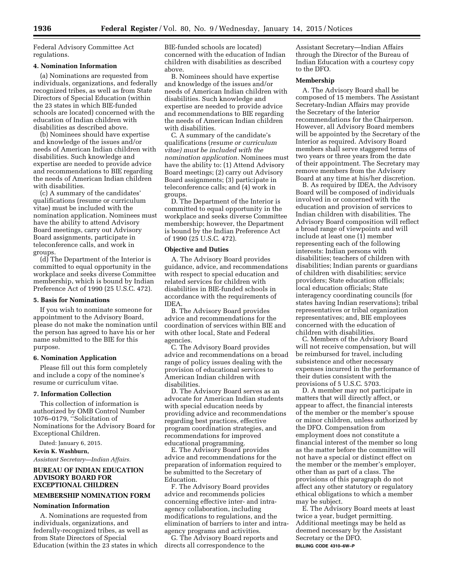Federal Advisory Committee Act regulations.

## **4. Nomination Information**

(a) Nominations are requested from individuals, organizations, and federally recognized tribes, as well as from State Directors of Special Education (within the 23 states in which BIE-funded schools are located) concerned with the education of Indian children with disabilities as described above.

(b) Nominees should have expertise and knowledge of the issues and/or needs of American Indian children with disabilities. Such knowledge and expertise are needed to provide advice and recommendations to BIE regarding the needs of American Indian children with disabilities.

(c) A summary of the candidates' qualifications (resume or curriculum vitae) must be included with the nomination application. Nominees must have the ability to attend Advisory Board meetings, carry out Advisory Board assignments, participate in teleconference calls, and work in groups.

(d) The Department of the Interior is committed to equal opportunity in the workplace and seeks diverse Committee membership, which is bound by Indian Preference Act of 1990 (25 U.S.C. 472).

### **5. Basis for Nominations**

If you wish to nominate someone for appointment to the Advisory Board, please do not make the nomination until the person has agreed to have his or her name submitted to the BIE for this purpose.

### **6. Nomination Application**

Please fill out this form completely and include a copy of the nominee's resume or curriculum vitae.

### **7. Information Collection**

This collection of information is authorized by OMB Control Number 1076–0179, ''Solicitation of Nominations for the Advisory Board for Exceptional Children.

Dated: January 6, 2015.

**Kevin K. Washburn,** 

*Assistant Secretary—Indian Affairs.* 

## **BUREAU OF INDIAN EDUCATION ADVISORY BOARD FOR EXCEPTIONAL CHILDREN**

## **MEMBERSHIP NOMINATION FORM**

## **Nomination Information**

A. Nominations are requested from individuals, organizations, and federally-recognized tribes, as well as from State Directors of Special Education (within the 23 states in which BIE-funded schools are located) concerned with the education of Indian children with disabilities as described above.

B. Nominees should have expertise and knowledge of the issues and/or needs of American Indian children with disabilities. Such knowledge and expertise are needed to provide advice and recommendations to BIE regarding the needs of American Indian children with disabilities.

C. A summary of the candidate's qualifications (*resume or curriculum vitae) must be included with the nomination application.* Nominees must have the ability to: (1) Attend Advisory Board meetings; (2) carry out Advisory Board assignments; (3) participate in teleconference calls; and (4) work in groups.

D. The Department of the Interior is committed to equal opportunity in the workplace and seeks diverse Committee membership; however, the Department is bound by the Indian Preference Act of 1990 (25 U.S.C. 472).

### **Objective and Duties**

A. The Advisory Board provides guidance, advice, and recommendations with respect to special education and related services for children with disabilities in BIE-funded schools in accordance with the requirements of IDEA.

B. The Advisory Board provides advice and recommendations for the coordination of services within BIE and with other local, State and Federal agencies.

C. The Advisory Board provides advice and recommendations on a broad range of policy issues dealing with the provision of educational services to American Indian children with disabilities.

D. The Advisory Board serves as an advocate for American Indian students with special education needs by providing advice and recommendations regarding best practices, effective program coordination strategies, and recommendations for improved educational programming.

E. The Advisory Board provides advice and recommendations for the preparation of information required to be submitted to the Secretary of Education.

F. The Advisory Board provides advice and recommends policies concerning effective inter- and intraagency collaboration, including modifications to regulations, and the elimination of barriers to inter and intraagency programs and activities.

G. The Advisory Board reports and directs all correspondence to the

Assistant Secretary—Indian Affairs through the Director of the Bureau of Indian Education with a courtesy copy to the DFO.

### **Membership**

A. The Advisory Board shall be composed of 15 members. The Assistant Secretary-Indian Affairs may provide the Secretary of the Interior recommendations for the Chairperson. However, all Advisory Board members will be appointed by the Secretary of the Interior as required. Advisory Board members shall serve staggered terms of two years or three years from the date of their appointment. The Secretary may remove members from the Advisory Board at any time at his/her discretion.

B. As required by IDEA, the Advisory Board will be composed of individuals involved in or concerned with the education and provision of services to Indian children with disabilities. The Advisory Board composition will reflect a broad range of viewpoints and will include at least one (1) member representing each of the following interests: Indian persons with disabilities; teachers of children with disabilities; Indian parents or guardians of children with disabilities; service providers; State education officials; local education officials; State interagency coordinating councils (for states having Indian reservations); tribal representatives or tribal organization representatives; and, BIE employees concerned with the education of children with disabilities.

C. Members of the Advisory Board will not receive compensation, but will be reimbursed for travel, including subsistence and other necessary expenses incurred in the performance of their duties consistent with the provisions of 5 U.S.C. 5703.

D. A member may not participate in matters that will directly affect, or appear to affect, the financial interests of the member or the member's spouse or minor children, unless authorized by the DFO. Compensation from employment does not constitute a financial interest of the member so long as the matter before the committee will not have a special or distinct effect on the member or the member's employer, other than as part of a class. The provisions of this paragraph do not affect any other statutory or regulatory ethical obligations to which a member may be subject.

E. The Advisory Board meets at least twice a year, budget permitting. Additional meetings may be held as deemed necessary by the Assistant Secretary or the DFO. **BILLING CODE 4310–6W–P**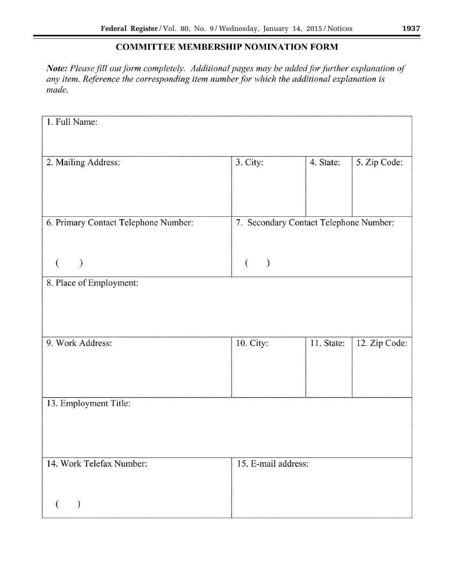# **COMMITTEE MEMBERSHIP NOMINATION FORM**

*Note: Please fill out form completely. Additional pages may be added for further explanation of any item. Reference the corresponding item number for which the additional explanation is made.* 

| 1. Full Name:                                 |                                        |            |               |  |
|-----------------------------------------------|----------------------------------------|------------|---------------|--|
|                                               |                                        |            |               |  |
| 2. Mailing Address:                           | 3. City:                               | 4. State:  | 5. Zip Code:  |  |
|                                               |                                        |            |               |  |
|                                               |                                        |            |               |  |
| 6. Primary Contact Telephone Number:          | 7. Secondary Contact Telephone Number: |            |               |  |
|                                               |                                        |            |               |  |
| €<br>$\mathcal{E}$<br>8. Place of Employment: | $\left($<br>$\mathcal{E}$              |            |               |  |
|                                               |                                        |            |               |  |
|                                               |                                        |            |               |  |
| 9. Work Address:                              | 10. City:                              | 11. State: | 12. Zip Code: |  |
|                                               |                                        |            |               |  |
|                                               |                                        |            |               |  |
| 13. Employment Title:                         |                                        |            |               |  |
|                                               |                                        |            |               |  |
|                                               |                                        |            |               |  |
| 14. Work Telefax Number:                      | 15. E-mail address:                    |            |               |  |
|                                               |                                        |            |               |  |
| $\mathcal{E}$<br>€                            |                                        |            |               |  |

۰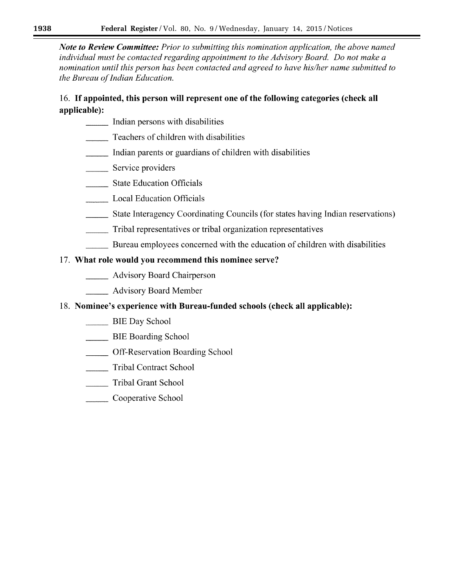*Note to Review Committee: Prior to submitting this nomination application, the above named individual must be contacted regarding appointment to the Advisory Board. Do not make a nomination until this person has been contacted and agreed to have his/her name submitted to the Bureau of Indian Education.* 

# 16. If **appointed, this person will represent one of the following categories (check all applicable):**

- \_\_ Indian persons with disabilities
- Teachers of children with disabilities
- \_\_ Indian parents or guardians of children with disabilities
- Service providers
- State Education Officials
- Local Education Officials
- \_\_ State Interagency Coordinating Councils (for states having Indian reservations)
	- \_\_ Tribal representatives or tribal organization representatives
- Bureau employees concerned with the education of children with disabilities

# 17. **What role would you recommend this nominee serve?**

- \_\_ Advisory Board Chairperson
	- \_\_ Advisory Board Member

# 18. **Nominee's experience with Bureau-funded schools (check all applicable):**

- BIE Day School
- \_\_ BIE Boarding School
- \_\_ Off-Reservation Boarding School
- Tribal Contract School
- Tribal Grant School
- **Cooperative School**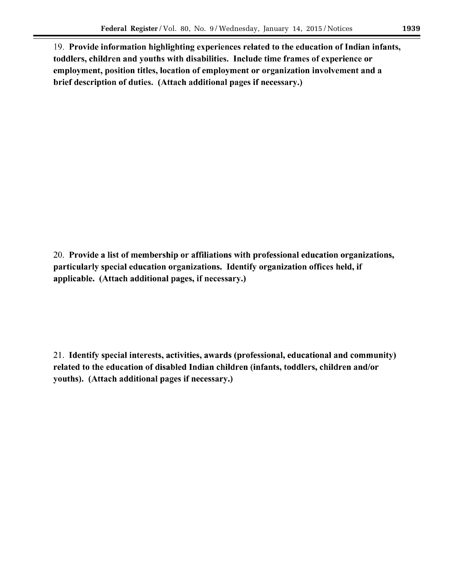19. Provide information highlighting experiences related to the education of Indian infants, toddlers, children and youths with disabilities. Include time frames of experience or employment, position titles, location of employment or organization involvement and a brief description of duties. (Attach additional pages if necessary.)

20. Provide a list of membership or affiliations with professional education organizations, particularly special education organizations. Identify organization offices held, if applicable. (Attach additional pages, if necessary.)

21. Identify special interests, activities, awards (professional, educational and community) related to the education of disabled Indian children (infants, toddlers, children and/or youths). (Attach additional pages if necessary.)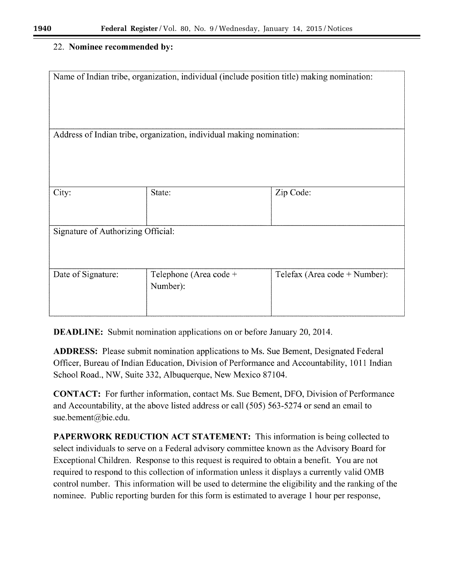# 22. **Nominee recommended** by:

| Name of Indian tribe, organization, individual (include position title) making nomination: |                                    |                               |  |  |
|--------------------------------------------------------------------------------------------|------------------------------------|-------------------------------|--|--|
| Address of Indian tribe, organization, individual making nomination:                       |                                    |                               |  |  |
|                                                                                            |                                    |                               |  |  |
| City:                                                                                      | State:                             | Zip Code:                     |  |  |
| Signature of Authorizing Official:                                                         |                                    |                               |  |  |
| Date of Signature:                                                                         | Telephone (Area code +<br>Number): | Telefax (Area code + Number): |  |  |

**DEADLINE:** Submit nomination applications on or before January 20, 2014.

**ADDRESS:** Please submit nomination applications to Ms. Sue Bement, Designated Federal Officer, Bureau of Indian Education, Division of Performance and Accountability, 1011 Indian School Road., NW, Suite 332, Albuquerque, New Mexico 87104.

**CONTACT:** For further information, contact Ms. Sue Bement, DFO, Division of Performance and Accountability, at the above listed address or call (505) 563-5274 or send an email to sue.bement@bie.edu.

**PAPERWORK REDUCTION ACT STATEMENT:** This information is being collected to select individuals to serve on a Federal advisory committee known as the Advisory Board for Exceptional Children. Response to this request is required to obtain a benefit. You are not required to respond to this collection of information unless it displays a currently valid OMB control number. This information will be used to determine the eligibility and the ranking of the nominee. Public reporting burden for this form is estimated to average 1 hour per response,